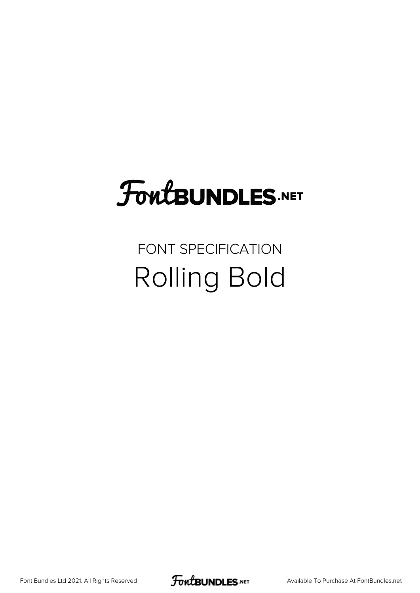# **FoutBUNDLES.NET**

### FONT SPECIFICATION Rolling Bold

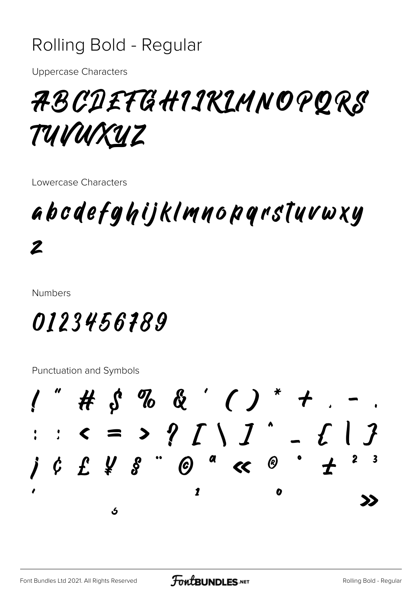### Rolling Bold - Regular

**Uppercase Characters** 

## 7BCDETGH1IKLMNOPQRS TUVUXUZ

Lowercase Characters

## abodefghijklmnopqrstuvwxy  $\boldsymbol{z}$

**Numbers** 

## 0123456189

**Punctuation and Symbols** 

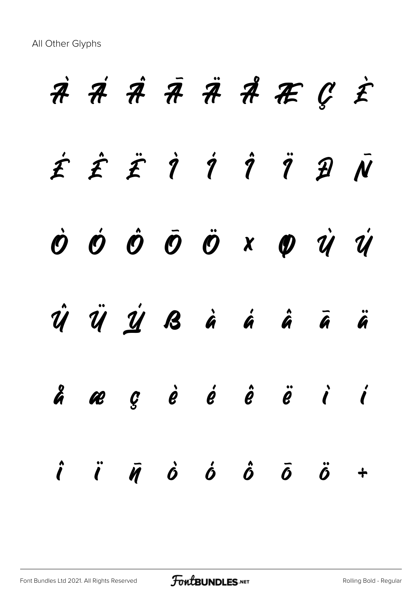All Other Glyphs

**À Á Â Ã Ä Å Æ Ç È É Ê Ë Ì Í Î Ï Ð Ñ Ò Ó Ô Õ Ö × Ø Ù Ú Û Ü Ý ß à á â ã ä å æ ç è é ê ë ì í î ï ñ ò ó ô õ ö ÷**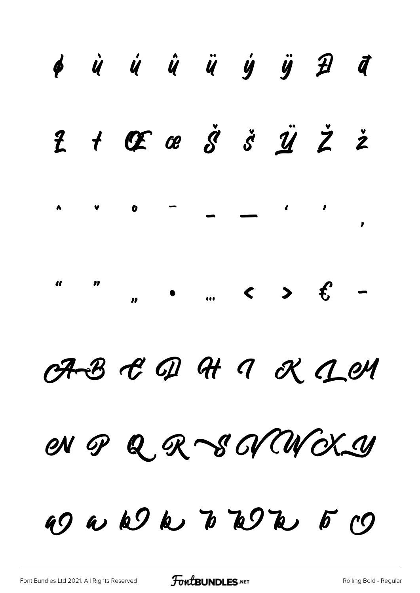#### Ù Ú Û Ü Ý Ÿ *Đ* đ  $\phi$  $\dot{s}$   $\ddot{y}$   $\ddot{z}$  $CF$   $\alpha$   $\ddot{\beta}$  $\overline{t}$  $\ddot{z}$  $\mathbf{z}$  $\bullet$  $\bullet$  $\boldsymbol{0}$  $\bullet$  $\overline{\mathbf{u}}$  $\boldsymbol{\eta}$  $\epsilon$  $\blacktriangleright$  $\overline{\phantom{0}}$  $\left\langle \right\rangle$  $\ddot{\mathbf{u}}$  $\boldsymbol{\eta}$

## $R$   $B$   $C$   $D$   $H$   $C$   $C$   $D$   $M$

### Q R S N W X Y en op

49 a k k b b k k f c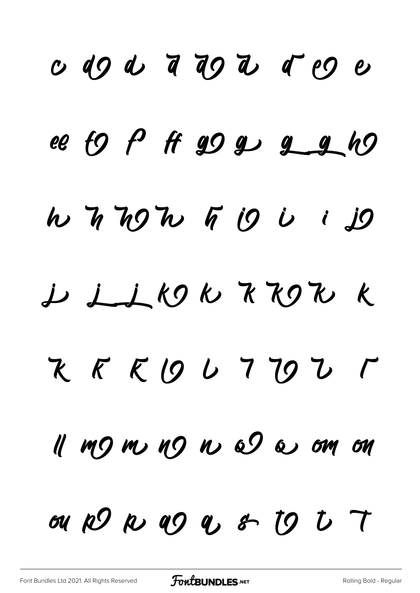